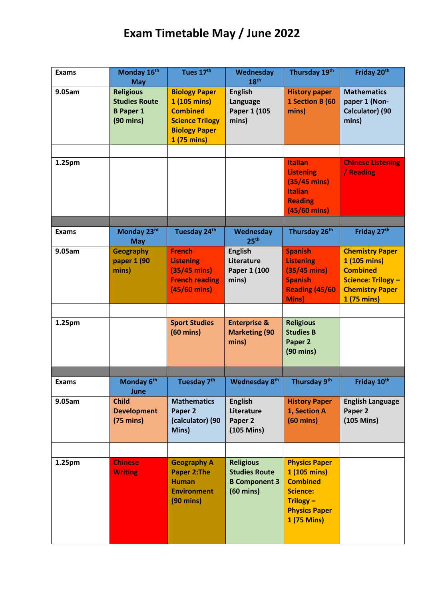## **Exam Timetable May / June 2022**

| <b>Exams</b> | Monday 16th<br><b>May</b>                                                           | Tues 17th                                                                                                                | Wednesday<br>18 <sup>th</sup>                                                           | Thursday 19th                                                                                                                 | Friday 20th                                                                                                                     |
|--------------|-------------------------------------------------------------------------------------|--------------------------------------------------------------------------------------------------------------------------|-----------------------------------------------------------------------------------------|-------------------------------------------------------------------------------------------------------------------------------|---------------------------------------------------------------------------------------------------------------------------------|
| 9.05am       | <b>Religious</b><br><b>Studies Route</b><br><b>B</b> Paper 1<br>$(90 \text{ mins})$ | <b>Biology Paper</b><br>1 (105 mins)<br><b>Combined</b><br><b>Science Trilogy</b><br><b>Biology Paper</b><br>1 (75 mins) | <b>English</b><br>Language<br>Paper 1 (105<br>mins)                                     | <b>History paper</b><br>1 Section B (60<br>mins)                                                                              | <b>Mathematics</b><br>paper 1 (Non-<br>Calculator) (90<br>mins)                                                                 |
|              |                                                                                     |                                                                                                                          |                                                                                         |                                                                                                                               |                                                                                                                                 |
| 1.25pm       |                                                                                     |                                                                                                                          |                                                                                         | <b>Italian</b><br><b>Listening</b><br>$(35/45 \text{ mins})$<br><b>Italian</b><br><b>Reading</b><br>$(45/60$ mins)            | <b>Chinese Listening</b><br>/ Reading                                                                                           |
| <b>Exams</b> | Monday 23rd<br><b>May</b>                                                           | Tuesday 24th                                                                                                             | Wednesday<br>25 <sup>th</sup>                                                           | Thursday 26 <sup>th</sup>                                                                                                     | Friday 27th                                                                                                                     |
| 9.05am       | <b>Geography</b><br>paper 1 (90<br>mins)                                            | <b>French</b><br><b>Listening</b><br>$(35/45 \text{ mins})$<br><b>French reading</b><br>$(45/60$ mins)                   | <b>English</b><br>Literature<br>Paper 1 (100<br>mins)                                   | <b>Spanish</b><br><b>Listening</b><br>$(35/45)$ mins)<br><b>Spanish</b><br>Reading (45/60<br><b>Mins</b> )                    | <b>Chemistry Paper</b><br>1 (105 mins)<br><b>Combined</b><br><b>Science: Trilogy -</b><br><b>Chemistry Paper</b><br>1 (75 mins) |
|              |                                                                                     |                                                                                                                          |                                                                                         |                                                                                                                               |                                                                                                                                 |
| 1.25pm       |                                                                                     | <b>Sport Studies</b><br>$(60 \text{ mins})$                                                                              | <b>Enterprise &amp;</b><br><b>Marketing (90</b><br>mins)                                | <b>Religious</b><br><b>Studies B</b><br>Paper 2<br>$(90 \text{ mins})$                                                        |                                                                                                                                 |
|              |                                                                                     |                                                                                                                          |                                                                                         |                                                                                                                               |                                                                                                                                 |
| <b>Exams</b> | Monday 6th<br>June                                                                  | Tuesday 7 <sup>th</sup>                                                                                                  | <b>Wednesday 8th</b>                                                                    | Thursday 9th                                                                                                                  | Friday 10th                                                                                                                     |
| 9.05am       | <b>Child</b><br><b>Development</b><br>$(75 \text{ mins})$                           | <b>Mathematics</b><br>Paper 2<br>(calculator) (90<br>Mins)                                                               | <b>English</b><br>Literature<br>Paper <sub>2</sub><br>$(105$ Mins)                      | <b>History Paper</b><br>1, Section A<br>$(60 \text{ mins})$                                                                   | <b>English Language</b><br>Paper 2<br>$(105$ Mins $)$                                                                           |
|              |                                                                                     |                                                                                                                          |                                                                                         |                                                                                                                               |                                                                                                                                 |
| 1.25pm       | <b>Chinese</b><br><b>Writing</b>                                                    | <b>Geography A</b><br><b>Paper 2:The</b><br><b>Human</b><br><b>Environment</b><br>$(90 \text{ mins})$                    | <b>Religious</b><br><b>Studies Route</b><br><b>B Component 3</b><br>$(60 \text{ mins})$ | <b>Physics Paper</b><br>1 (105 mins)<br><b>Combined</b><br><b>Science:</b><br>Trilogy-<br><b>Physics Paper</b><br>1 (75 Mins) |                                                                                                                                 |